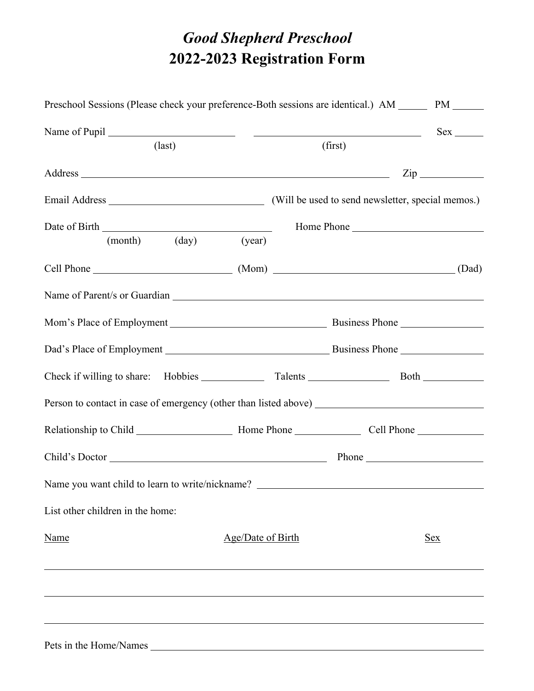## *Good Shepherd Preschool*  **2022-2023 Registration Form**

| Preschool Sessions (Please check your preference-Both sessions are identical.) AM ______ PM ______   |                   |  |            |  |                     |
|------------------------------------------------------------------------------------------------------|-------------------|--|------------|--|---------------------|
|                                                                                                      |                   |  |            |  | $Sex \_\_$          |
| $\text{(last)}$                                                                                      |                   |  | (first)    |  |                     |
|                                                                                                      |                   |  |            |  | $\mathsf{Zip} \_\_$ |
|                                                                                                      |                   |  |            |  |                     |
|                                                                                                      |                   |  | Home Phone |  |                     |
| (month) (day)                                                                                        | (year)            |  |            |  |                     |
| Cell Phone (Dad) (Mom) (Mom) (2008)                                                                  |                   |  |            |  |                     |
|                                                                                                      |                   |  |            |  |                     |
|                                                                                                      |                   |  |            |  |                     |
|                                                                                                      |                   |  |            |  |                     |
|                                                                                                      |                   |  |            |  |                     |
| Person to contact in case of emergency (other than listed above) ___________________________________ |                   |  |            |  |                     |
|                                                                                                      |                   |  |            |  |                     |
|                                                                                                      |                   |  |            |  |                     |
| Name you want child to learn to write/nickname? ________________________________                     |                   |  |            |  |                     |
| List other children in the home:                                                                     |                   |  |            |  |                     |
| Name                                                                                                 | Age/Date of Birth |  |            |  | <u>Sex</u>          |
|                                                                                                      |                   |  |            |  |                     |
|                                                                                                      |                   |  |            |  |                     |
|                                                                                                      |                   |  |            |  |                     |